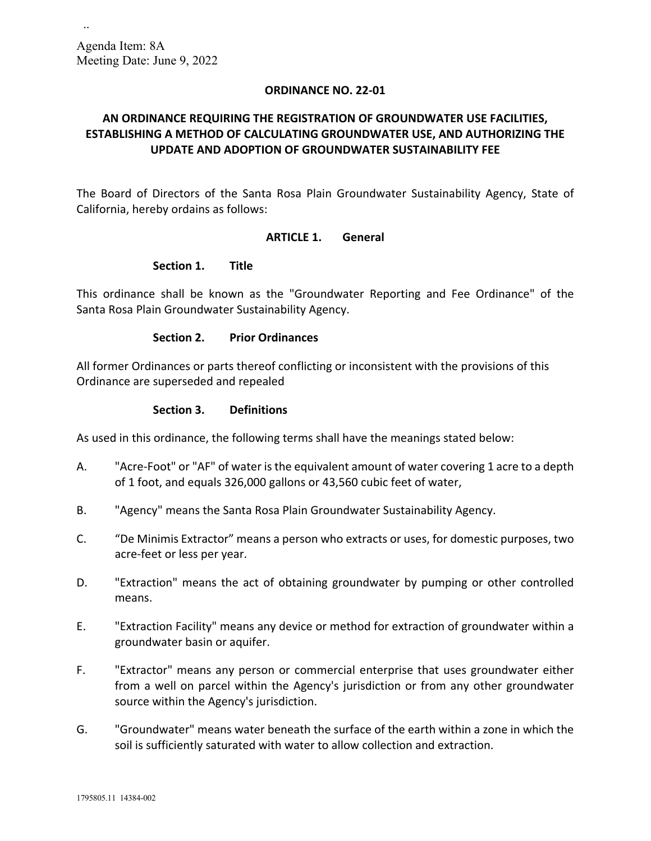..

#### **ORDINANCE NO. 22-01**

# **AN ORDINANCE REQUIRING THE REGISTRATION OF GROUNDWATER USE FACILITIES, ESTABLISHING A METHOD OF CALCULATING GROUNDWATER USE, AND AUTHORIZING THE UPDATE AND ADOPTION OF GROUNDWATER SUSTAINABILITY FEE**

The Board of Directors of the Santa Rosa Plain Groundwater Sustainability Agency, State of California, hereby ordains as follows:

#### **ARTICLE 1. General**

#### **Section 1. Title**

This ordinance shall be known as the "Groundwater Reporting and Fee Ordinance" of the Santa Rosa Plain Groundwater Sustainability Agency.

#### **Section 2. Prior Ordinances**

All former Ordinances or parts thereof conflicting or inconsistent with the provisions of this Ordinance are superseded and repealed

#### **Section 3. Definitions**

As used in this ordinance, the following terms shall have the meanings stated below:

- A. "Acre-Foot" or "AF" of water is the equivalent amount of water covering 1 acre to a depth of 1 foot, and equals 326,000 gallons or 43,560 cubic feet of water,
- B. "Agency" means the Santa Rosa Plain Groundwater Sustainability Agency.
- C. "De Minimis Extractor" means a person who extracts or uses, for domestic purposes, two acre-feet or less per year.
- D. "Extraction" means the act of obtaining groundwater by pumping or other controlled means.
- E. "Extraction Facility" means any device or method for extraction of groundwater within a groundwater basin or aquifer.
- F. "Extractor" means any person or commercial enterprise that uses groundwater either from a well on parcel within the Agency's jurisdiction or from any other groundwater source within the Agency's jurisdiction.
- G. "Groundwater" means water beneath the surface of the earth within a zone in which the soil is sufficiently saturated with water to allow collection and extraction.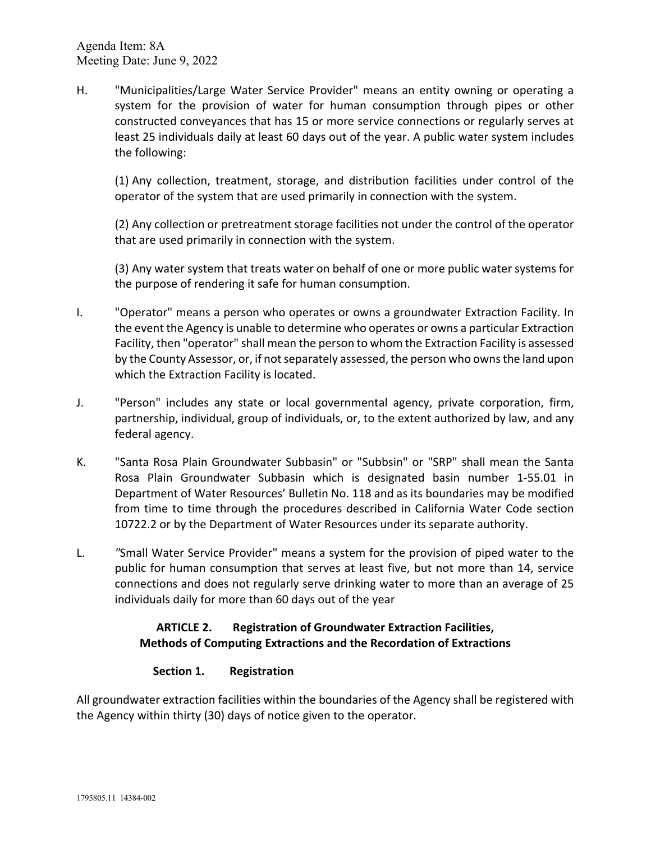H. "Municipalities/Large Water Service Provider" means an entity owning or operating a system for the provision of water for human consumption through pipes or other constructed conveyances that has 15 or more service connections or regularly serves at least 25 individuals daily at least 60 days out of the year. A public water system includes the following:

(1) Any collection, treatment, storage, and distribution facilities under control of the operator of the system that are used primarily in connection with the system.

(2) Any collection or pretreatment storage facilities not under the control of the operator that are used primarily in connection with the system.

(3) Any water system that treats water on behalf of one or more public water systems for the purpose of rendering it safe for human consumption.

- I. "Operator" means a person who operates or owns a groundwater Extraction Facility. In the event the Agency is unable to determine who operates or owns a particular Extraction Facility, then "operator" shall mean the person to whom the Extraction Facility is assessed by the County Assessor, or, if not separately assessed, the person who owns the land upon which the Extraction Facility is located.
- J. "Person" includes any state or local governmental agency, private corporation, firm, partnership, individual, group of individuals, or, to the extent authorized by law, and any federal agency.
- K. "Santa Rosa Plain Groundwater Subbasin" or "Subbsin" or "SRP" shall mean the Santa Rosa Plain Groundwater Subbasin which is designated basin number 1-55.01 in Department of Water Resources' Bulletin No. 118 and as its boundaries may be modified from time to time through the procedures described in California Water Code section 10722.2 or by the Department of Water Resources under its separate authority.
- L. *"*Small Water Service Provider" means a system for the provision of piped water to the public for human consumption that serves at least five, but not more than 14, service connections and does not regularly serve drinking water to more than an average of 25 individuals daily for more than 60 days out of the year

# **ARTICLE 2. Registration of Groundwater Extraction Facilities, Methods of Computing Extractions and the Recordation of Extractions**

# **Section 1. Registration**

All groundwater extraction facilities within the boundaries of the Agency shall be registered with the Agency within thirty (30) days of notice given to the operator.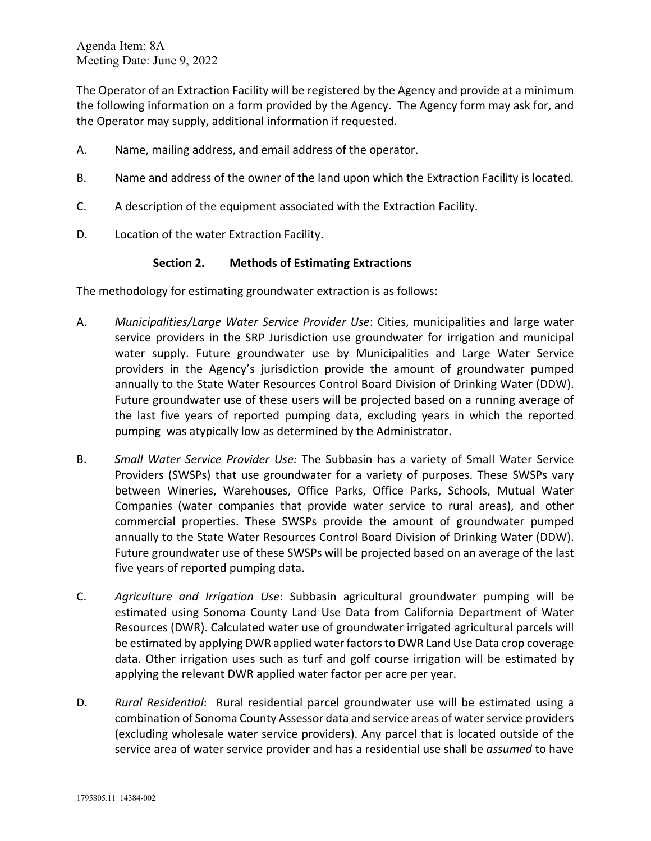The Operator of an Extraction Facility will be registered by the Agency and provide at a minimum the following information on a form provided by the Agency. The Agency form may ask for, and the Operator may supply, additional information if requested.

- A. Name, mailing address, and email address of the operator.
- B. Name and address of the owner of the land upon which the Extraction Facility is located.
- C. A description of the equipment associated with the Extraction Facility.
- D. Location of the water Extraction Facility.

## **Section 2. Methods of Estimating Extractions**

The methodology for estimating groundwater extraction is as follows:

- A. *Municipalities/Large Water Service Provider Use*: Cities, municipalities and large water service providers in the SRP Jurisdiction use groundwater for irrigation and municipal water supply. Future groundwater use by Municipalities and Large Water Service providers in the Agency's jurisdiction provide the amount of groundwater pumped annually to the State Water Resources Control Board Division of Drinking Water (DDW). Future groundwater use of these users will be projected based on a running average of the last five years of reported pumping data, excluding years in which the reported pumping was atypically low as determined by the Administrator.
- B. *Small Water Service Provider Use:* The Subbasin has a variety of Small Water Service Providers (SWSPs) that use groundwater for a variety of purposes. These SWSPs vary between Wineries, Warehouses, Office Parks, Office Parks, Schools, Mutual Water Companies (water companies that provide water service to rural areas), and other commercial properties. These SWSPs provide the amount of groundwater pumped annually to the State Water Resources Control Board Division of Drinking Water (DDW). Future groundwater use of these SWSPs will be projected based on an average of the last five years of reported pumping data.
- C. *Agriculture and Irrigation Use*: Subbasin agricultural groundwater pumping will be estimated using Sonoma County Land Use Data from California Department of Water Resources (DWR). Calculated water use of groundwater irrigated agricultural parcels will be estimated by applying DWR applied water factorsto DWR Land Use Data crop coverage data. Other irrigation uses such as turf and golf course irrigation will be estimated by applying the relevant DWR applied water factor per acre per year.
- D. *Rural Residential*: Rural residential parcel groundwater use will be estimated using a combination of Sonoma County Assessor data and service areas of water service providers (excluding wholesale water service providers). Any parcel that is located outside of the service area of water service provider and has a residential use shall be *assumed* to have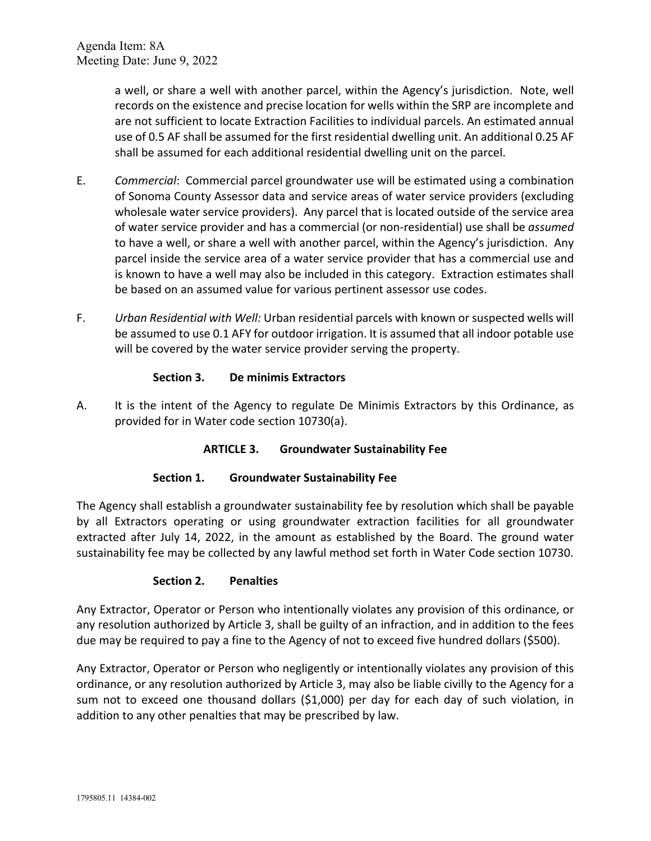> a well, or share a well with another parcel, within the Agency's jurisdiction. Note, well records on the existence and precise location for wells within the SRP are incomplete and are not sufficient to locate Extraction Facilities to individual parcels. An estimated annual use of 0.5 AF shall be assumed for the first residential dwelling unit. An additional 0.25 AF shall be assumed for each additional residential dwelling unit on the parcel.

- E. *Commercial*: Commercial parcel groundwater use will be estimated using a combination of Sonoma County Assessor data and service areas of water service providers (excluding wholesale water service providers). Any parcel that is located outside of the service area of water service provider and has a commercial (or non-residential) use shall be *assumed* to have a well, or share a well with another parcel, within the Agency's jurisdiction. Any parcel inside the service area of a water service provider that has a commercial use and is known to have a well may also be included in this category. Extraction estimates shall be based on an assumed value for various pertinent assessor use codes.
- F. *Urban Residential with Well:* Urban residential parcels with known or suspected wells will be assumed to use 0.1 AFY for outdoor irrigation. It is assumed that all indoor potable use will be covered by the water service provider serving the property.

## **Section 3. De minimis Extractors**

A. It is the intent of the Agency to regulate De Minimis Extractors by this Ordinance, as provided for in Water code section 10730(a).

## **ARTICLE 3. Groundwater Sustainability Fee**

## **Section 1. Groundwater Sustainability Fee**

The Agency shall establish a groundwater sustainability fee by resolution which shall be payable by all Extractors operating or using groundwater extraction facilities for all groundwater extracted after July 14, 2022, in the amount as established by the Board. The ground water sustainability fee may be collected by any lawful method set forth in Water Code section 10730.

## **Section 2. Penalties**

Any Extractor, Operator or Person who intentionally violates any provision of this ordinance, or any resolution authorized by Article 3, shall be guilty of an infraction, and in addition to the fees due may be required to pay a fine to the Agency of not to exceed five hundred dollars (\$500).

Any Extractor, Operator or Person who negligently or intentionally violates any provision of this ordinance, or any resolution authorized by Article 3, may also be liable civilly to the Agency for a sum not to exceed one thousand dollars (\$1,000) per day for each day of such violation, in addition to any other penalties that may be prescribed by law.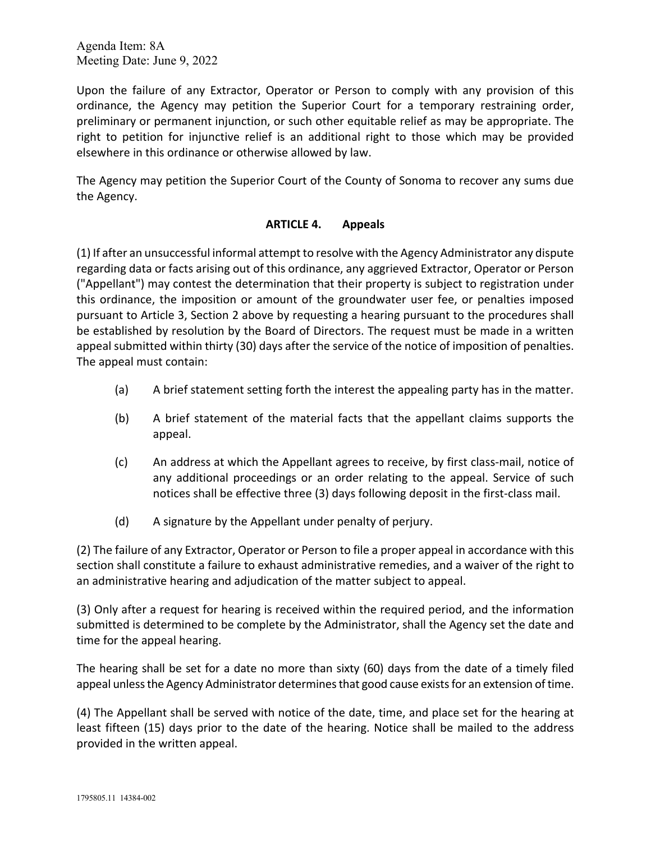Upon the failure of any Extractor, Operator or Person to comply with any provision of this ordinance, the Agency may petition the Superior Court for a temporary restraining order, preliminary or permanent injunction, or such other equitable relief as may be appropriate. The right to petition for injunctive relief is an additional right to those which may be provided elsewhere in this ordinance or otherwise allowed by law.

The Agency may petition the Superior Court of the County of Sonoma to recover any sums due the Agency.

## **ARTICLE 4. Appeals**

(1) If after an unsuccessful informal attempt to resolve with the Agency Administrator any dispute regarding data or facts arising out of this ordinance, any aggrieved Extractor, Operator or Person ("Appellant") may contest the determination that their property is subject to registration under this ordinance, the imposition or amount of the groundwater user fee, or penalties imposed pursuant to Article 3, Section 2 above by requesting a hearing pursuant to the procedures shall be established by resolution by the Board of Directors. The request must be made in a written appeal submitted within thirty (30) days after the service of the notice of imposition of penalties. The appeal must contain:

- (a) A brief statement setting forth the interest the appealing party has in the matter.
- (b) A brief statement of the material facts that the appellant claims supports the appeal.
- (c) An address at which the Appellant agrees to receive, by first class-mail, notice of any additional proceedings or an order relating to the appeal. Service of such notices shall be effective three (3) days following deposit in the first-class mail.
- (d) A signature by the Appellant under penalty of perjury.

(2) The failure of any Extractor, Operator or Person to file a proper appeal in accordance with this section shall constitute a failure to exhaust administrative remedies, and a waiver of the right to an administrative hearing and adjudication of the matter subject to appeal.

(3) Only after a request for hearing is received within the required period, and the information submitted is determined to be complete by the Administrator, shall the Agency set the date and time for the appeal hearing.

The hearing shall be set for a date no more than sixty (60) days from the date of a timely filed appeal unless the Agency Administrator determines that good cause exists for an extension of time.

(4) The Appellant shall be served with notice of the date, time, and place set for the hearing at least fifteen (15) days prior to the date of the hearing. Notice shall be mailed to the address provided in the written appeal.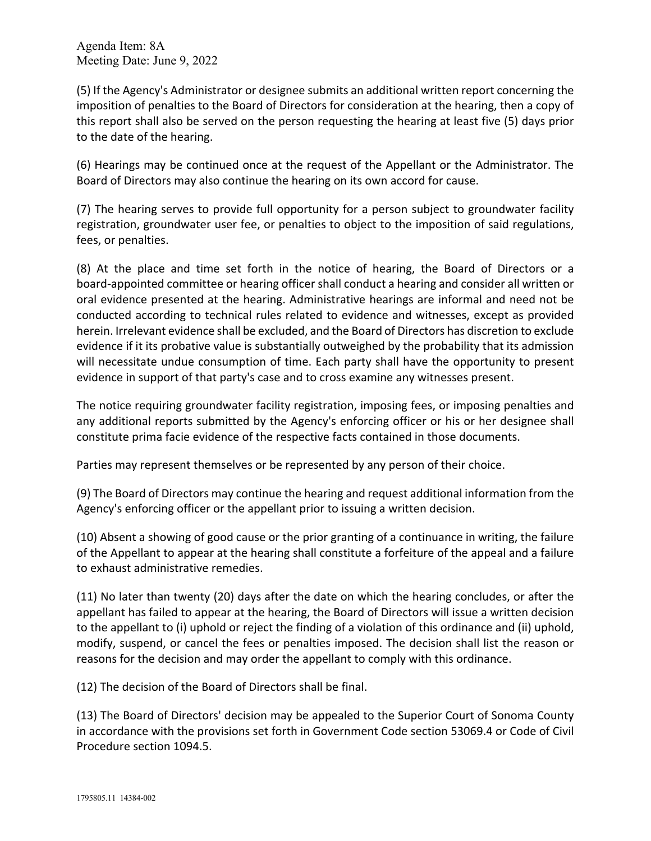(5) If the Agency's Administrator or designee submits an additional written report concerning the imposition of penalties to the Board of Directors for consideration at the hearing, then a copy of this report shall also be served on the person requesting the hearing at least five (5) days prior to the date of the hearing.

(6) Hearings may be continued once at the request of the Appellant or the Administrator. The Board of Directors may also continue the hearing on its own accord for cause.

(7) The hearing serves to provide full opportunity for a person subject to groundwater facility registration, groundwater user fee, or penalties to object to the imposition of said regulations, fees, or penalties.

(8) At the place and time set forth in the notice of hearing, the Board of Directors or a board-appointed committee or hearing officer shall conduct a hearing and consider all written or oral evidence presented at the hearing. Administrative hearings are informal and need not be conducted according to technical rules related to evidence and witnesses, except as provided herein. Irrelevant evidence shall be excluded, and the Board of Directors has discretion to exclude evidence if it its probative value is substantially outweighed by the probability that its admission will necessitate undue consumption of time. Each party shall have the opportunity to present evidence in support of that party's case and to cross examine any witnesses present.

The notice requiring groundwater facility registration, imposing fees, or imposing penalties and any additional reports submitted by the Agency's enforcing officer or his or her designee shall constitute prima facie evidence of the respective facts contained in those documents.

Parties may represent themselves or be represented by any person of their choice.

(9) The Board of Directors may continue the hearing and request additional information from the Agency's enforcing officer or the appellant prior to issuing a written decision.

(10) Absent a showing of good cause or the prior granting of a continuance in writing, the failure of the Appellant to appear at the hearing shall constitute a forfeiture of the appeal and a failure to exhaust administrative remedies.

(11) No later than twenty (20) days after the date on which the hearing concludes, or after the appellant has failed to appear at the hearing, the Board of Directors will issue a written decision to the appellant to (i) uphold or reject the finding of a violation of this ordinance and (ii) uphold, modify, suspend, or cancel the fees or penalties imposed. The decision shall list the reason or reasons for the decision and may order the appellant to comply with this ordinance.

(12) The decision of the Board of Directors shall be final.

(13) The Board of Directors' decision may be appealed to the Superior Court of Sonoma County in accordance with the provisions set forth in Government Code section 53069.4 or Code of Civil Procedure section 1094.5.